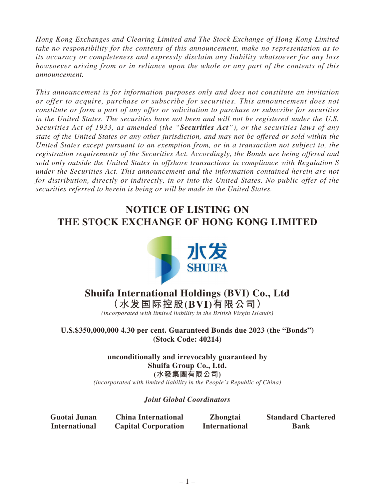*Hong Kong Exchanges and Clearing Limited and The Stock Exchange of Hong Kong Limited take no responsibility for the contents of this announcement, make no representation as to its accuracy or completeness and expressly disclaim any liability whatsoever for any loss howsoever arising from or in reliance upon the whole or any part of the contents of this announcement.*

*This announcement is for information purposes only and does not constitute an invitation or offer to acquire, purchase or subscribe for securities. This announcement does not constitute or form a part of any offer or solicitation to purchase or subscribe for securities in the United States. The securities have not been and will not be registered under the U.S. Securities Act of 1933, as amended (the "Securities Act"), or the securities laws of any state of the United States or any other jurisdiction, and may not be offered or sold within the United States except pursuant to an exemption from, or in a transaction not subject to, the registration requirements of the Securities Act. Accordingly, the Bonds are being offered and sold only outside the United States in offshore transactions in compliance with Regulation S under the Securities Act. This announcement and the information contained herein are not for distribution, directly or indirectly, in or into the United States. No public offer of the securities referred to herein is being or will be made in the United States.*

## **NOTICE OF LISTING ON THE STOCK EXCHANGE OF HONG KONG LIMITED**



## **Shuifa International Holdings (BVI) Co., Ltd (水发国际控股(BVI)有限公司)** *(incorporated with limited liability in the British Virgin Islands)*

**U.S.\$350,000,000 4.30 per cent. Guaranteed Bonds due 2023 (the "Bonds") (Stock Code: 40214)**

> **unconditionally and irrevocably guaranteed by Shuifa Group Co., Ltd. (水發集團有限公司)**

*(incorporated with limited liability in the People's Republic of China)*

## *Joint Global Coordinators*

**Guotai Junan International**

**China International Capital Corporation**

**Zhongtai International** **Standard Chartered Bank**